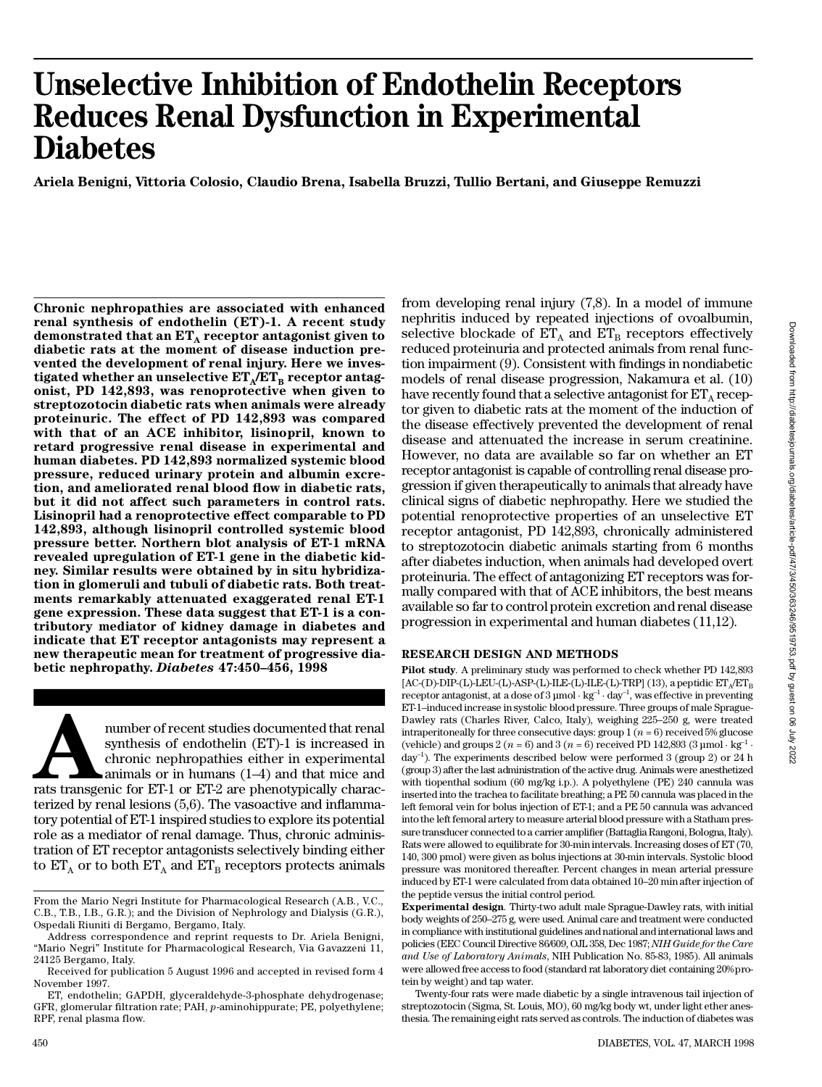# **Unselective Inhibition of Endothelin Receptors Reduces Renal Dysfunction in Experimental Diabetes**

**Ariela Benigni, Vittoria Colosio, Claudio Brena, Isabella Bruzzi, Tullio Bertani, and Giuseppe Remuzzi**

**Chronic nephropathies are associated with enhanced renal synthesis of endothelin (ET)-1. A recent study demonstrated that an ET<sup>A</sup> receptor antagonist given to diabetic rats at the moment of disease induction prevented the development of renal injury. Here we inves-** $\boldsymbol{\mu}$  tigated whether an unselective  $\boldsymbol{\mathrm{ET_A/ET_B}}$  receptor antag**onist, PD 142,893, was renoprotective when given to streptozotocin diabetic rats when animals were already proteinuric. The effect of PD 142,893 was compared with that of an ACE inhibitor, lisinopril, known to retard progressive renal disease in experimental and human diabetes. PD 142,893 normalized systemic blood pressure, reduced urinary protein and albumin excretion, and ameliorated renal blood flow in diabetic rats, but it did not affect such parameters in control rats. Lisinopril had a renoprotective effect comparable to PD 142,893, although lisinopril controlled systemic blood pressure better. Northern blot analysis of ET-1 mRNA revealed upregulation of ET-1 gene in the diabetic kid**ney. Similar results were obtained by in situ hybridiza**tion in glomeruli and tubuli of diabetic rats. Both treat**ments remarkably attenuated exaggerated renal ET-1 **gene expression. These data suggest that ET-1 is a contributory mediator of kidney damage in diabetes and indicate that ET receptor antagonists may represent a new therapeutic mean for treatment of progressive diabetic nephropathy.** *D i a b e t e s* **47:450–456, 1998**

A<br>
rather of recent studies documented that renal<br>
synthesis of endothelin (ET)-1 is increased in<br>
chronic nephropathies either in experimental<br>
rats transgenic for ET-1 or ET-2 are phenotypically characnumber of recent studies documented that renal synthesis of endothelin (ET)-1 is increased in chronic nephropathies either in experimental animals or in humans (1–4) and that mice and terized by renal lesions  $(5,6)$ . The vasoactive and inflammatory potential of ET-1 inspired studies to explore its potential role as a mediator of renal damage. Thus, chronic administration of ET receptor antagonists selectively binding either to  $\mathbf{ET_A}$  or to both  $\mathbf{ET_A}$  and  $\mathbf{ET_B}$  receptors protects animals

from developing renal injury (7,8). In a model of immune nephritis induced by repeated injections of ovoalbumin, selective blockade of  $\mathop{\text{ET}}\nolimits_{\text{A}}$  and  $\mathop{\text{ET}}\nolimits_{\text{B}}$  receptors effectively reduced proteinuria and protected animals from renal function impairment (9). Consistent with findings in nondiabetic models of renal disease progression, Nakamura et al. (10) have recently found that a selective antagonist for  $\mathop{\rm ET}\nolimits_\mathrm{A}\!$  receptor given to diabetic rats at the moment of the induction of the disease effectively prevented the development of renal disease and attenuated the increase in serum creatinine. However, no data are available so far on whether an ET receptor antagonist is capable of controlling renal disease progression if given therapeutically to animals that already have clinical signs of diabetic nephropathy. Here we studied the potential renoprotective properties of an unselective ET receptor antagonist, PD 142,893, chronically administered to streptozotocin diabetic animals starting from 6 months after diabetes induction, when animals had developed overt proteinuria. The effect of antagonizing ET receptors was formally compared with that of ACE inhibitors, the best means available so far to control protein excretion and renal disease progression in experimental and human diabetes (11,12).

## **RESEARCH DESIGN AND METHODS**

**Pilot study***.* A preliminary study was performed to check whether PD 142,893 [AC-(D)-DIP-(L)-LEU-(L)-ASP-(L)-ILE-(L)-ILE-(L)-TRP] (13), a peptidic  $ET_A/ET_B$ receptor antagonist, at a dose of  $3 \mu$ mol · kg<sup>-1</sup> · day<sup>-1</sup>, was effective in preventing E T-1–induced increase in systolic blood pressure. Three groups of male Sprague-Dawley rats (Charles River, Calco, Italy), weighing 225–250 g, were treated intraperitoneally for three consecutive days: group  $1 (n = 6)$  received 5% glucose (vehicle) and groups 2  $(n = 6)$  and 3  $(n = 6)$  received PD 142,893  $(3 \text{ µmol} \cdot \text{kg}^{-1} \cdot$ day<sup>-1</sup>). The experiments described below were performed 3 (group 2) or 24 h (group 3) after the last administration of the active drug. Animals were anesthetized with tiopenthal sodium (60 mg/kg i.p.). A polyethylene (PE) 240 cannula was inserted into the trachea to facilitate breathing; a PE 50 cannula was placed in the left femoral vein for bolus injection of ET-1; and a PE 50 cannula was advanced into the left femoral artery to measure arterial blood pressure with a Statham pressure transducer connected to a carrier amplifier (Battaglia Rangoni, Bologna, Italy). Rats were allowed to equilibrate for 30-min intervals. Increasing doses of ET (70, 140, 300 pmol) were given as bolus injections at 30-min intervals. Systolic blood pressure was monitored thereafter. Percent changes in mean arterial pressure induced by ET-1 were calculated from data obtained 10–20 min after injection of the peptide versus the initial control period.

**Experimental design***.* Thirty-two adult male Sprague-Dawley rats, with initial body weights of 250–275 g, were used. Animal care and treatment were conducted in compliance with institutional guidelines and national and international laws and policies (EEC Council Directive 86/609, OJL 358, Dec 1987; *NIH Guide for the Care and Use of Laboratory Animals*, NIH Publication No. 85-83, 1985). All animals were allowed free access to food (standard rat laboratory diet containing 20% protein by weight) and tap water.

Twenty-four rats were made diabetic by a single intravenous tail injection of streptozotocin (Sigma, St. Louis, MO), 60 mg/kg body wt, under light ether anesthesia. The remaining eight rats served as controls. The induction of diabetes was

From the Mario Negri Institute for Pharmacological Research (A.B., V.C., C.B., T.B., I.B., G.R.); and the Division of Nephrology and Dialysis (G.R.), Ospedali Riuniti di Bergamo, Bergamo, Italy.

Address correspondence and reprint requests to Dr. Ariela Benigni, "Mario Negri" Institute for Pharmacological Research, Via Gavazzeni 11, 24125 Bergamo, Italy.

Received for publication 5 August 1996 and accepted in revised form 4 November 1997.

ET, endothelin; GAPDH, glyceraldehyde-3-phosphate dehydrogenase; GFR, glomerular filtration rate; PAH, *p*-aminohippurate; PE, polyethylene; RPF, renal plasma flow.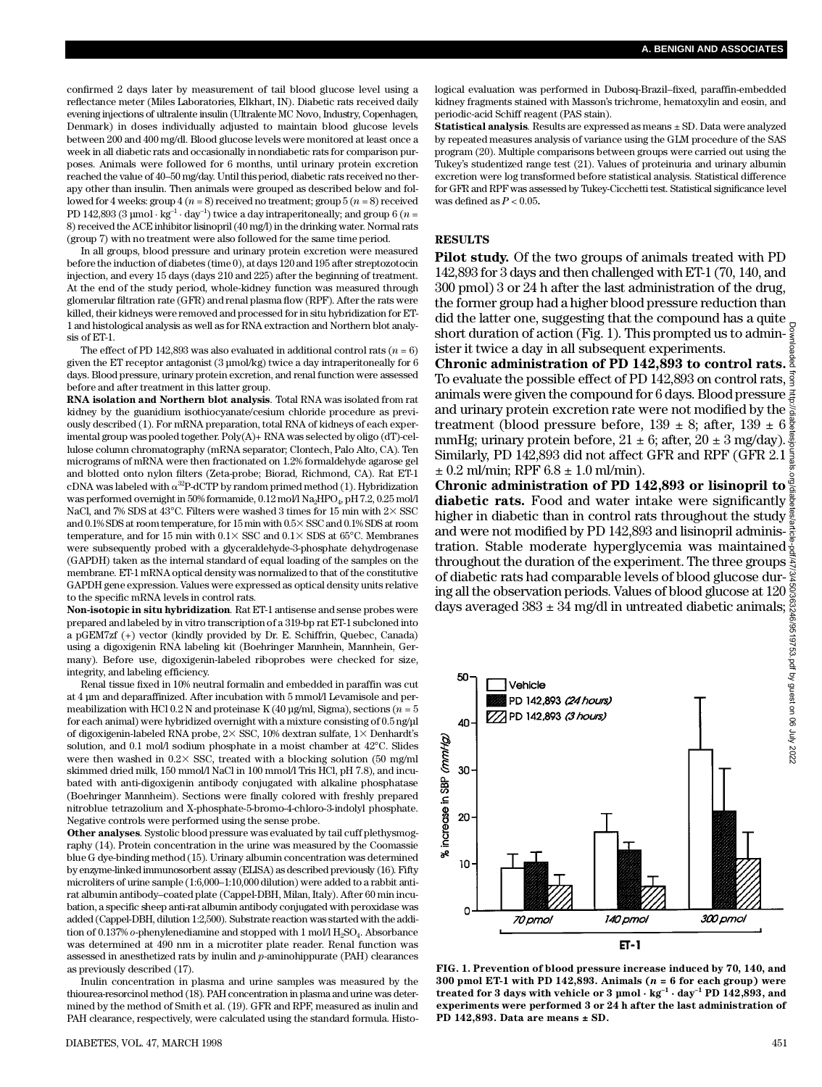confirmed 2 days later by measurement of tail blood glucose level using a r effectance meter (Miles Laboratories, Elkhart, IN). Diabetic rats received daily evening injections of ultralente insulin (Ultralente MC Novo, Industry, Copenhagen, Denmark) in doses individually adjusted to maintain blood glucose levels between 200 and 400 mg/dl. Blood glucose levels were monitored at least once a week in all diabetic rats and occasionally in nondiabetic rats for comparison purposes. Animals were followed for 6 months, until urinary protein excretion reached the value of 40–50 mg/day. Until this period, diabetic rats received no therapy other than insulin. Then animals were grouped as described below and followed for 4 weeks: group 4 (*n* = 8) received no treatment; group 5 (*n* = 8) received PD 142,893 (3 µmol · kg<sup>-1</sup> · day<sup>-1</sup>) twice a day intraperitoneally; and group 6 ( $n =$ 8) received the ACE inhibitor lisinopril (40 mg/l) in the drinking water. Normal rats (group 7) with no treatment were also followed for the same time period.

In all groups, blood pressure and urinary protein excretion were measured before the induction of diabetes (time 0), at days 120 and 195 after streptozotocin injection, and every 15 days (days 210 and 225) after the beginning of treatment. At the end of the study period, whole-kidney function was measured through glomerular filtration rate (GFR) and renal plasma flow (RPF). After the rats were killed, their kidneys were removed and processed for in situ hybridization for ET-1 and histological analysis as well as for RNA extraction and Northern blot analysis of ET-1.

The effect of PD 142,893 was also evaluated in additional control rats  $(n = 6)$ given the ET receptor antagonist (3 µmol/kg) twice a day intraperitoneally for 6 days. Blood pressure, urinary protein excretion, and renal function were assessed before and after treatment in this latter group.

**RNA isolation and Northern blot analysis***.* Total RNA was isolated from rat kidney by the guanidium isothiocyanate/cesium chloride procedure as previously described (1). For mRNA preparation, total RNA of kidneys of each experimental group was pooled together. Poly(A)+ RNA was selected by oligo (dT)-cellulose column chromatography (mRNA separator; Clontech, Palo Alto, CA). Ten micrograms of mRNA were then fractionated on 1.2% formaldehyde agarose gel and blotted onto nylon filters (Zeta-probe; Biorad, Richmond, CA). Rat ET-1 cDNA was labeled with  $\alpha^{32}P$ -dCTP by random primed method (1). Hybridization was performed overnight in 50% formamide,  $0.12 \,\mathrm{mol/Na_2HPO_4}$ , pH  $7.2, 0.25 \,\mathrm{mol/Na_2}$ NaCl, and 7% SDS at 43°C. Filters were washed 3 times for 15 min with  $2 \times$  SSC and 0.1% SDS at room temperature, for  $15$  min with  $0.5 \times$  SSC and  $0.1\%$  SDS at room temperature, and for 15 min with  $0.1 \times$  SSC and  $0.1 \times$  SDS at 65°C. Membranes were subsequently probed with a glyceraldehyde-3-phosphate dehydrogenase (GAPDH) taken as the internal standard of equal loading of the samples on the membrane. ET-1 mRNA optical density was normalized to that of the constitutive GAPDH gene expression. Values were expressed as optical density units relative to the specific mRNA levels in control rats.

**Non-isotopic in situ hybridization***.* Rat ET-1 antisense and sense probes were prepared and labeled by in vitro transcription of a 319-bp rat ET-1 subcloned into a pGEM7zf (+) vector (kindly provided by Dr. E. Schiffrin, Quebec, Canada) using a digoxigenin RNA labeling kit (Boehringer Mannhein, Mannhein, Germany). Before use, digoxigenin-labeled riboprobes were checked for size, integrity, and labeling efficiency.

Renal tissue fixed in 10% neutral formalin and embedded in paraffin was cut at 4 µm and deparaffinized. After incubation with 5 mmol/l Levamisole and permeabilization with HCl 0.2 N and proteinase K (40 µg/ml, Sigma), sections (*n* = 5 for each animal) were hybridized overnight with a mixture consisting of 0.5 ng/µl of digoxigenin-labeled RNA probe,  $2 \times$  SSC, 10% dextran sulfate,  $1 \times$  Denhardt's solution, and 0.1 mol/l sodium phosphate in a moist chamber at  $42^{\circ}$ C. Slides were then washed in  $0.2 \times$  SSC, treated with a blocking solution (50 mg/ml) skimmed dried milk, 150 mmol/l NaCl in 100 mmol/l Tris HCl, pH 7.8), and incubated with anti-digoxigenin antibody conjugated with alkaline phosphatase (Boehringer Mannheim). Sections were finally colored with freshly prepared nitroblue tetrazolium and X-phosphate-5-bromo-4-chloro-3-indolyl phosphate. Negative controls were performed using the sense probe.

**Other analyses**. Systolic blood pressure was evaluated by tail cuff plethysmography (14). Protein concentration in the urine was measured by the Coomassie blue G dye-binding method (15). Urinary albumin concentration was determined by enzyme-linked immunosorbent assay (ELISA) as described previously (16). Fifty microliters of urine sample (1:6,000–1:10,000 dilution) were added to a rabbit antirat albumin antibody–coated plate (Cappel-DBH, Milan, Italy). After 60 min incubation, a specific sheep anti-rat albumin antibody conjugated with peroxidase was added (Cappel-DBH, dilution 1:2,500). Substrate reaction was started with the addition of  $0.137\%$   $o$ -phenylenediamine and stopped with  $1$  mol/l  $\rm H_2SO_4$ . Absorbance was determined at 490 nm in a microtiter plate reader. Renal function was assessed in anesthetized rats by inulin and *p*-aminohippurate (PAH) clearances as previously described (17).

Inulin concentration in plasma and urine samples was measured by the thiourea-resorcinol method (18). PAH concentration in plasma and urine was determined by the method of Smith et al. (19). GFR and RPF, measured as inulin and PAH clearance, respectively, were calculated using the standard formula. Histological evaluation was performed in Dubosq-Brazil–fixed, paraffin-embedded kidney fragments stained with Masson's trichrome, hematoxylin and eosin, and periodic-acid Schiff reagent (PAS stain).

**Statistical analysis***.* Results are expressed as means ± SD. Data were analyzed by repeated measures analysis of variance using the GLM procedure of the SAS program (20). Multiple comparisons between groups were carried out using the Tukey's studentized range test (21). Values of proteinuria and urinary albumin excretion were log transformed before statistical analysis. Statistical difference for GFR and RPF was assessed by Tukey-Cicchetti test. Statistical significance level was defined as *P* < 0.05.

#### **RESULTS**

**Pilot study.** Of the two groups of animals treated with PD 142,893 for 3 days and then challenged with ET-1 (70, 140, and 300 pmol) 3 or 24 h after the last administration of the drug, the former group had a higher blood pressure reduction than did the latter one, suggesting that the compound has a quite short duration of action (Fig. 1). This prompted us to admin- $\frac{1}{5}$ ister it twice a day in all subsequent experiments.

**Chronic administration of PD 142,893 to control rats.** To evaluate the possible effect of PD 142,893 on control rats,  $\frac{3}{5}$ animals were given the compound for 6 days. Blood pressure  $\frac{3}{4}$ and urinary protein excretion rate were not modified by the  $\ge$ treatment (blood pressure before,  $139 \pm 8$ ; after,  $139 \pm 6\frac{8}{8}$ mmHg; urinary protein before,  $21 \pm 6$ ; after,  $20 \pm 3$  mg/day).  $\frac{8}{9}$ <br>Similarly PD 142.893 did not affect GFR and RPF (GFR 2.1  $\frac{2}{9}$ Similarly, PD 142,893 did not affect GFR and RPF (GFR 2.1)  $\pm$  0.2 ml/min; RPF 6.8  $\pm$  1.0 ml/min).

**Chronic administration of PD 142,893 or lisinopril to diabetic rats.** Food and water intake were significantly  $\frac{8}{9}$ higher in diabetic than in control rats throughout the study and were not modified by PD 142,893 and lisinopril adminis- $\frac{3}{6}$ tration. Stable moderate hyperglycemia was maintained throughout the duration of the experiment. The three groups  $\frac{3}{5}$ of diabetic rats had comparable levels of blood glucose during all the observation periods. Values of blood glucose at 120 days averaged  $383 \pm 34$  mg/dl in untreated diabetic animals;



**FIG. 1. Prevention of blood pressure increase induced by 70, 140, and 300 pmol ET-1 with PD 142,893. Animals (***n* **= 6 for each group) were treated for 3 days with vehicle or 3**  $\mu$ **mol**  $\cdot$  **kg<sup>-1</sup>**  $\cdot$  **day<sup>-1</sup> PD 142,893, and experiments were performed 3 or 24 h after the last administration of PD 142,893. Data are means ± SD.**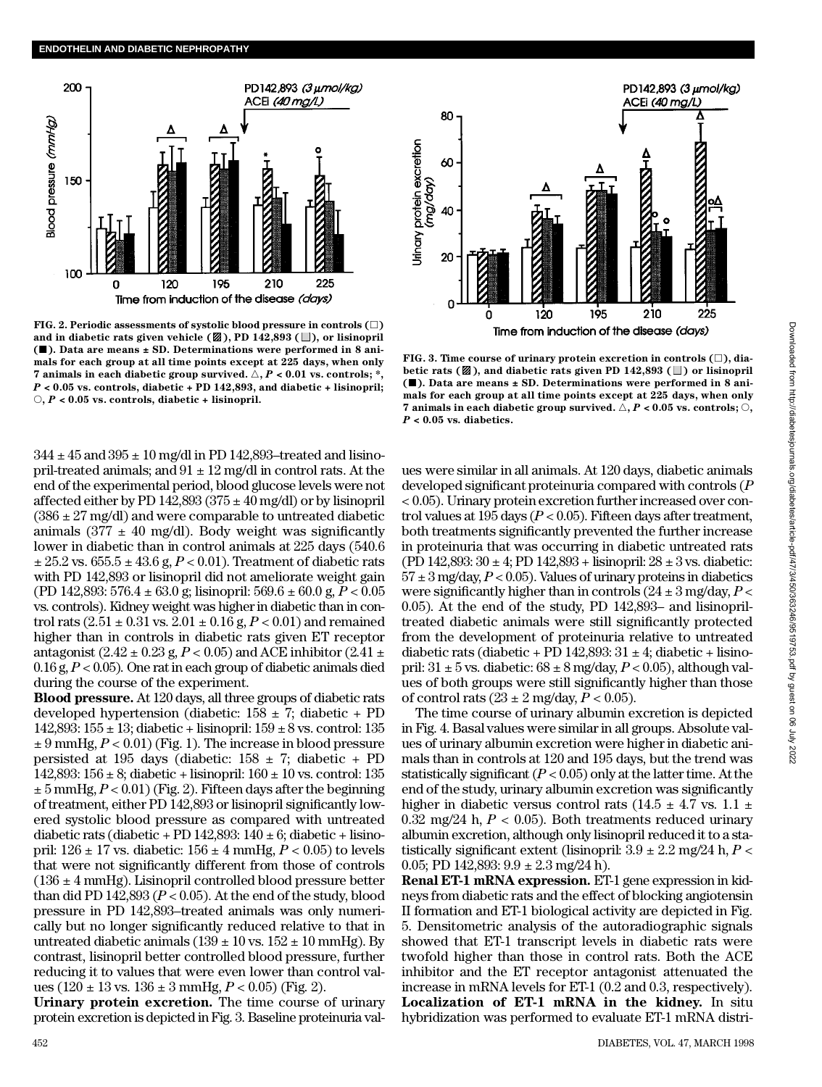

**FIG. 2. Periodic assessments of systolic blood pressure in controls**  $(\Box)$ and in diabetic rats given vehicle  $(\mathbb{Z})$ , PD 142,893 ( $\Box$ ), or lisinopril **(**j**). Data are means ± SD. Determinations were performed in 8 animals for each group at all time points except at 225 days, when only 7** animals in each diabetic group survived.  $\triangle$ ,  $P < 0.01$  vs. controls; \*, *P* **< 0.05 vs. controls, diabetic + PD 142,893, and diabetic + lisinopril;** s**,** *P* **< 0.05 vs. controls, diabetic + lisinopril.**

 $344 \pm 45$  and  $395 \pm 10$  mg/dl in PD 142,893-treated and lisinopril-treated animals; and  $91 \pm 12$  mg/dl in control rats. At the end of the experimental period, blood glucose levels were not affected either by PD 142,893 ( $375 \pm 40$  mg/dl) or by lisinopril  $(386 \pm 27 \text{ mg/dl})$  and were comparable to untreated diabetic animals (377  $\pm$  40 mg/dl). Body weight was significantly lower in diabetic than in control animals at 225 days (540.6  $\pm 25.2$  vs.  $655.5 \pm 43.6$  g,  $P < 0.01$ ). Treatment of diabetic rats with PD 142,893 or lisinopril did not ameliorate weight gain (PD 142,893: 576.4 ± 63.0 g; lisinopril: 569.6 ± 60.0 g, *P* < 0.05 vs. controls). Kidney weight was higher in diabetic than in control rats  $(2.51 \pm 0.31 \text{ vs. } 2.01 \pm 0.16 \text{ g}, P < 0.01)$  and remained higher than in controls in diabetic rats given ET receptor antagonist  $(2.42 \pm 0.23 \text{ g}, P < 0.05)$  and ACE inhibitor  $(2.41 \pm 0.23 \text{ g}, P < 0.05)$ 0.16 g, *P* < 0.05). One rat in each group of diabetic animals died during the course of the experiment.

**Blood pressure.** At 120 days, all three groups of diabetic rats developed hypertension (diabetic:  $158 \pm 7$ ; diabetic + PD 142,893: 155 ± 13; diabetic + lisinopril: 159 ± 8 vs. control: 135 ± 9 mmHg, *P* < 0.01) (Fig. 1). The increase in blood pressure persisted at 195 days (diabetic:  $158 \pm 7$ ; diabetic + PD 142,893: 156 ± 8; diabetic + lisinopril: 160 ± 10 vs. control: 135  $\pm$  5 mmHg,  $P < 0.01$ ) (Fig. 2). Fifteen days after the beginning of treatment, either PD 142,893 or lisinopril significantly lowered systolic blood pressure as compared with untreated diabetic rats (diabetic + PD 142,893:  $140 \pm 6$ ; diabetic + lisinopril:  $126 \pm 17$  vs. diabetic:  $156 \pm 4$  mmHg,  $P < 0.05$ ) to levels that were not significantly different from those of controls  $(136 \pm 4 \text{ mmHg})$ . Lisinopril controlled blood pressure better than did PD 142,893 ( $P < 0.05$ ). At the end of the study, blood pressure in PD 142,893–treated animals was only numerically but no longer significantly reduced relative to that in untreated diabetic animals  $(139 \pm 10 \text{ vs. } 152 \pm 10 \text{ mmHg})$ . By contrast, lisinopril better controlled blood pressure, further reducing it to values that were even lower than control values (120 ± 13 vs. 136 ± 3 mmHg, *P* < 0.05) (Fig. 2).

**Urinary protein excretion.** The time course of urinary protein excretion is depicted in Fig. 3. Baseline proteinuria val-



**FIG. 3. Time course of urinary protein excretion in controls (**h**), dia**betic rats ( $\mathbb{Z}$ ), and diabetic rats given PD 142,893 ( $\Box$ ) or lisinopril **(**j**). Data are means ± SD. Determinations were performed in 8 animals for each group at all time points except at 225 days, when only 7 animals in each diabetic group survived.**  $\triangle$ ,  $P$  < 0.05 vs. controls;  $\heartsuit$ , *P* **< 0.05 vs. diabetics.**

ues were similar in all animals. At 120 days, diabetic animals developed significant proteinuria compared with controls (*P* < 0.05). Urinary protein excretion further increased over control values at 195 days (*P* < 0.05). Fifteen days after treatment, both treatments significantly prevented the further increase in proteinuria that was occurring in diabetic untreated rats (PD 142,893:  $30 \pm 4$ ; PD 142,893 + lisinopril:  $28 \pm 3$  vs. diabetic:  $57 \pm 3$  mg/day,  $P < 0.05$ ). Values of urinary proteins in diabetics were significantly higher than in controls  $(24 \pm 3 \text{ mg/day}, P <$ 0.05). At the end of the study, PD 142,893– and lisinopriltreated diabetic animals were still significantly protected from the development of proteinuria relative to untreated diabetic rats (diabetic + PD 142,893:  $31 \pm 4$ ; diabetic + lisinopril:  $31 \pm 5$  vs. diabetic:  $68 \pm 8$  mg/day,  $P < 0.05$ ), although values of both groups were still significantly higher than those of control rats  $(23 \pm 2 \text{ mg/day}, P < 0.05)$ .

The time course of urinary albumin excretion is depicted in Fig. 4. Basal values were similar in all groups. Absolute values of urinary albumin excretion were higher in diabetic animals than in controls at 120 and 195 days, but the trend was statistically significant  $(P < 0.05)$  only at the latter time. At the end of the study, urinary albumin excretion was significantly higher in diabetic versus control rats (14.5  $\pm$  4.7 vs. 1.1  $\pm$ 0.32 mg/24 h,  $P < 0.05$ ). Both treatments reduced urinary albumin excretion, although only lisinopril reduced it to a statistically significant extent (lisinopril:  $3.9 \pm 2.2$  mg/24 h,  $P <$ 0.05; PD 142,893:  $9.9 \pm 2.3$  mg/24 h).

**Renal ET-1 mRNA expression.** ET-1 gene expression in kidneys from diabetic rats and the effect of blocking angiotensin II formation and ET-1 biological activity are depicted in Fig. 5. Densitometric analysis of the autoradiographic signals showed that ET-1 transcript levels in diabetic rats were twofold higher than those in control rats. Both the ACE inhibitor and the ET receptor antagonist attenuated the increase in mRNA levels for ET-1 (0.2 and 0.3, respectively). **Localization of ET-1 mRNA in the kidney.** In situ hybridization was performed to evaluate ET-1 mRNA distri-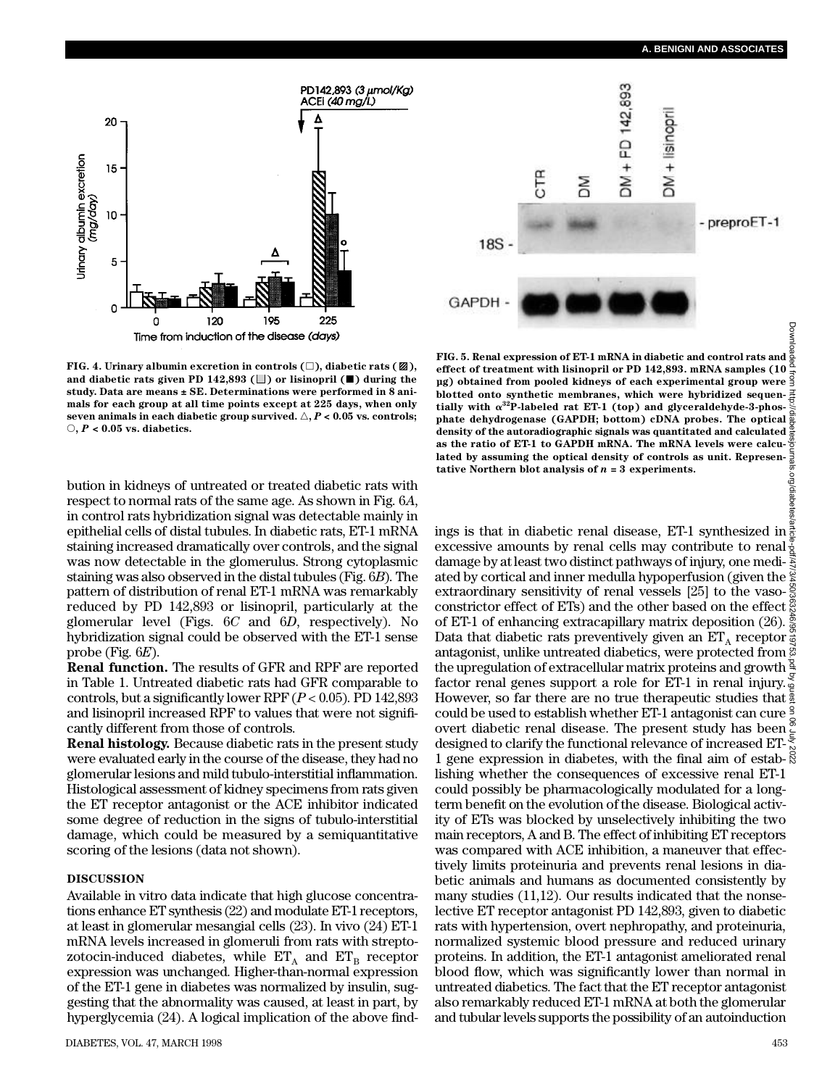

**FIG. 4. Urinary albumin excretion in controls**  $(\square)$ **, diabetic rats**  $(\mathbb{Z})$ **,** and diabetic rats given PD  $142,893$  ( $\Box$ ) or lisinopril ( $\Box$ ) during the study. Data are means ± SE. Determinations were performed in 8 ani**mals for each group at all time points except at 225 days, when only seven animals in each diabetic group survived.**  $\triangle$ **,**  $P$  **< 0.05 vs. controls;** s**,** *P* **< 0.05 vs. diabetics.**

bution in kidneys of untreated or treated diabetic rats with respect to normal rats of the same age. As shown in Fig. 6*A*, in control rats hybridization signal was detectable mainly in epithelial cells of distal tubules. In diabetic rats, ET-1 mRNA staining increased dramatically over controls, and the signal was now detectable in the glomerulus. Strong cytoplasmic staining was also observed in the distal tubules (Fig. 6*B*). The pattern of distribution of renal ET-1 mRNA was remarkably reduced by PD 142,893 or lisinopril, particularly at the glomerular level (Figs. 6*C* and 6*D*, respectively). No hybridization signal could be observed with the ET-1 sense probe (Fig.  $6E$ ).

**Renal function.** The results of GFR and RPF are reported in Table 1. Untreated diabetic rats had GFR comparable to controls, but a significantly lower RPF  $(P < 0.05)$ . PD 142,893 and lisinopril increased RPF to values that were not significantly different from those of controls.

**Renal histology.** Because diabetic rats in the present study were evaluated early in the course of the disease, they had no glomerular lesions and mild tubulo-interstitial inflammation. Histological assessment of kidney specimens from rats given the ET receptor antagonist or the ACE inhibitor indicated some degree of reduction in the signs of tubulo-interstitial damage, which could be measured by a semiquantitative scoring of the lesions (data not shown).

# **DISCUSSION**

Available in vitro data indicate that high glucose concentrations enhance ET synthesis (22) and modulate ET-1 receptors, at least in glomerular mesangial cells (23). In vivo (24) ET- 1 mRNA levels increased in glomeruli from rats with streptozotocin-induced diabetes, while  $\mathop{\text{ET}}\nolimits_{\text{A}}$  and  $\mathop{\text{ET}}\nolimits_{\text{B}}$  receptor expression was unchanged. Higher-than-normal expression of the ET-1 gene in diabetes was normalized by insulin, suggesting that the abnormality was caused, at least in part, by hyperglycemia  $(24)$ . A logical implication of the above find-



**FIG. 5. Renal expression of ET-1 mRNA in diabetic and control rats and e ffect of treatment with lisinopril or PD 142,893. mRNA samples (10 µg) obtained from pooled kidneys of each experimental group were blotted onto synthetic membranes, which were hybridized sequen**tially with  $\alpha^{32}$ P-labeled rat ET-1 (top) and glyceraldehyde-3-phos**phate dehydrogenase (GAPDH; bottom) cDNA probes. The optical density of the autoradiographic signals was quantitated and calculated as the ratio of ET-1 to GAPDH mRNA. The mRNA levels were calculated by assuming the optical density of controls as unit. Representative Northern blot analysis of** *n* **= 3 experiments.** org/diabet

ings is that in diabetic renal disease, ET-1 synthesized in excessive amounts by renal cells may contribute to renal  $\frac{3}{2}$ damage by at least two distinct pathways of injury, one mediated by cortical and inner medulla hypoperfusion (given the  $\frac{\omega}{\lambda}$ extraordinary sensitivity of renal vessels [25] to the vasoconstrictor effect of ETs) and the other based on the effect of ET-1 of enhancing extracapillary matrix deposition (26).  $\frac{5}{9}$ Data that diabetic rats preventively given an  $\mathbf{ET}_\mathtt{A}$  receptor antagonist, unlike untreated diabetics, were protected from  $\stackrel{\sim}{{\rm s}}$ the upregulation of extracellular matrix proteins and growth  $\frac{8}{5}$ factor renal genes support a role for ET-1 in renal injury. However, so far there are no true therapeutic studies that  $\frac{3}{2}$ could be used to establish whether ET-1 antagonist can cure  $\frac{1}{2}$  overt diabetic renal disease. The present study has been  $\frac{1}{5}$ designed to clarify the functional relevance of increased ET-1 gene expression in diabetes, with the final aim of estab- $\frac{8}{8}$ lishing whether the consequences of excessive renal ET-1 could possibly be pharmacologically modulated for a longterm benefit on the evolution of the disease. Biological activity of ETs was blocked by unselectively inhibiting the two main receptors, A and B. The effect of inhibiting ET receptors was compared with ACE inhibition, a maneuver that effectively limits proteinuria and prevents renal lesions in diabetic animals and humans as documented consistently by many studies (11,12). Our results indicated that the nonselective ET receptor antagonist PD 142,893, given to diabetic rats with hypertension, overt nephropathy, and proteinuria, normalized systemic blood pressure and reduced urinary proteins. In addition, the ET-1 antagonist ameliorated renal blood flow, which was significantly lower than normal in untreated diabetics. The fact that the ET receptor antagonist also remarkably reduced ET-1 mRNA at both the glomerular and tubular levels supports the possibility of an autoinduction Downloaded from http://diabetesjournals.org/diabetes/article-pdf/47/3/450/363246/9519753.pdf by guest on 06 July 2022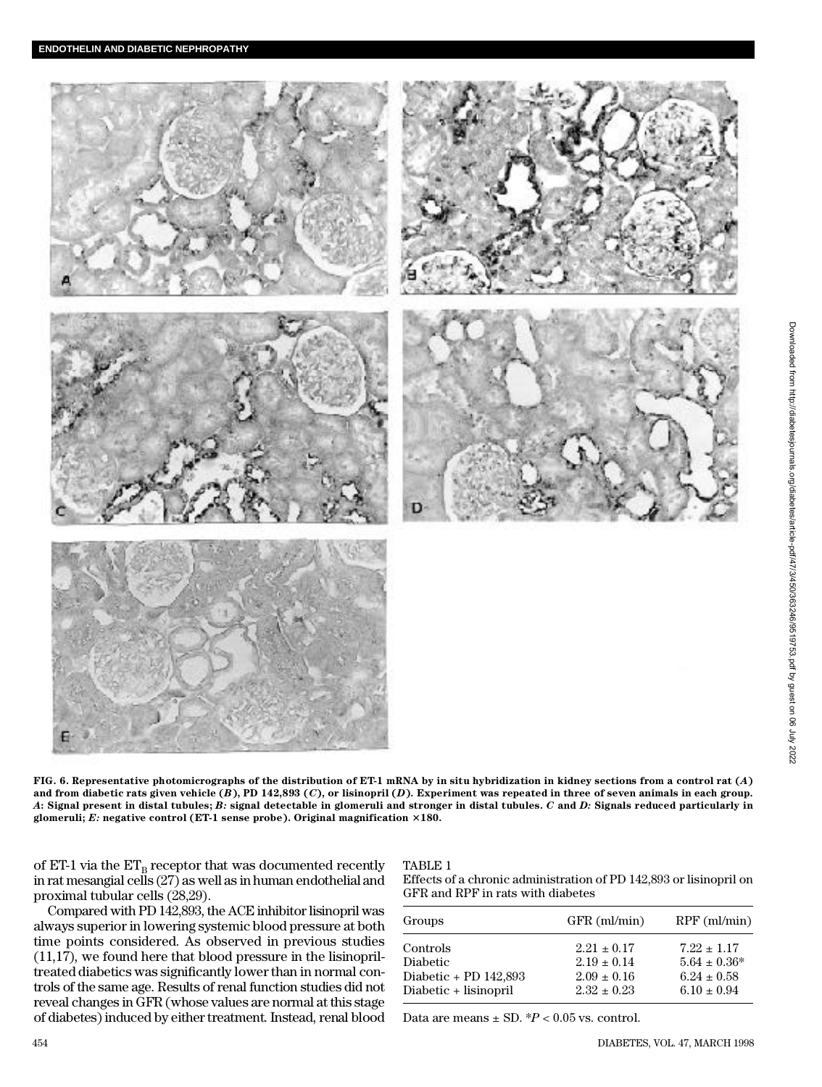

**FIG. 6. Representative photomicrographs of the distribution of ET-1 mRNA by in situ hybridization in kidney sections from a control rat (***A***) and from diabetic rats given vehicle (***B***), PD 142,893 (***C***), or lisinopril (***D***). Experiment was repeated in three of seven animals in each group.** *A***: Signal present in distal tubules;** *B:* **signal detectable in glomeruli and stronger in distal tubules.** *C* **a n d** *D:* **Signals reduced particularly in** glomeruli; E: negative control (ET-1 sense probe). Original magnification  $\times 180$ .

of ET-1 via the  $ET_{\rm B}$  receptor that was documented recently in rat mesangial cells (27) as well as in human endothelial and proximal tubular cells (28,29).

reveal changes in GFR (whose values are normal at this stage of diabetes) induced by either treatment. Instead, renal blood

### TABLE 1 Effects of a chronic administration of PD 142,893 or lisinopril on

Compared with PD 142,893, the ACE inhibitor lisinopril was always superior in lowering systemic blood pressure at both time points considered. As observed in previous studies (11,17), we found here that blood pressure in the lisinopriltreated diabetics was significantly lower than in normal controls of the same age. Results of renal function studies did not GFR and RPF in rats with diabetes Groups GFR (ml/min) RPF (ml/min) Controls 2.21  $\pm$  0.17 7.22  $\pm$  1.17 Diabetic  $2.19 \pm 0.14$   $5.64 \pm 0.36^*$ <br>Diabetic + PD 142,893  $2.09 \pm 0.16$   $6.24 \pm 0.58$ Diabetic + PD 142,893 Diabetic + lisinopril 2.32  $\pm$  0.23 6.10  $\pm$  0.94

Data are means  $\pm$  SD.  $^{*}P$  < 0.05 vs. control.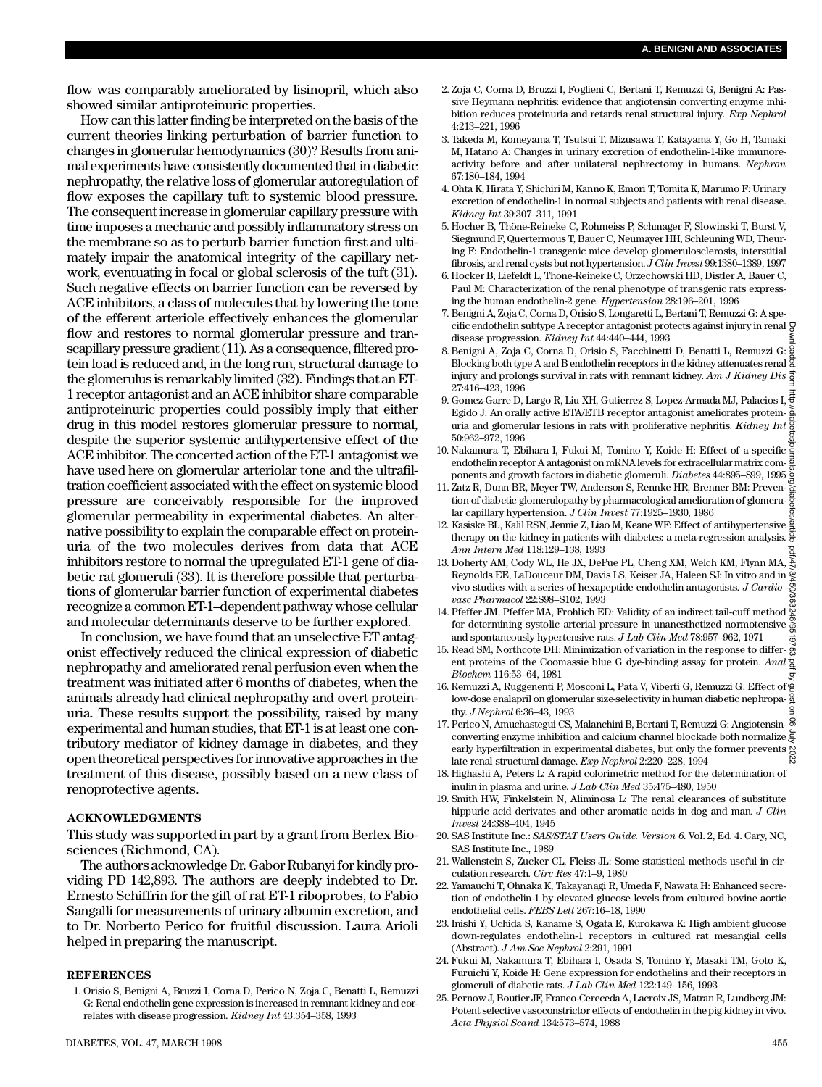flow was comparably ameliorated by lisinopril, which also showed similar antiproteinuric properties.

How can this latter finding be interpreted on the basis of the current theories linking perturbation of barrier function to changes in glomerular hemodynamics (30)? Results from animal experiments have consistently documented that in diabetic n e phropathy, the relative loss of glomerular autoregulation of flow exposes the capillary tuft to systemic blood pressure. The consequent increase in glomerular capillary pressure with time imposes a mechanic and possibly inflammatory stress on the membrane so as to perturb barrier function first and ultimately impair the anatomical integrity of the capillary network, eventuating in focal or global sclerosis of the tuft (31). Such negative effects on barrier function can be reversed by ACE inhibitors, a class of molecules that by lowering the tone of the efferent arteriole effectively enhances the glomerular flow and restores to normal glomerular pressure and transcapillary pressure gradient (11). As a consequence, filtered protein load is reduced and, in the long run, structural damage to the glomerulus is remarkably limited (32). Findings that an ET-1 receptor antagonist and an ACE inhibitor share comparable antiproteinuric properties could possibly imply that either drug in this model restores glomerular pressure to normal, despite the superior systemic antihypertensive effect of the ACE inhibitor. The concerted action of the ET-1 antagonist we have used here on glomerular arteriolar tone and the ultrafiltration coefficient associated with the effect on systemic blood pressure are conceivably responsible for the improved glomerular permeability in experimental diabetes. An alternative possibility to explain the comparable effect on proteinuria of the two molecules derives from data that ACE inhibitors restore to normal the upregulated ET-1 gene of diabetic rat glomeruli (33). It is therefore possible that perturbations of glomerular barrier function of experimental diabetes recognize a common ET-1–dependent pathway whose cellular and molecular determinants deserve to be further explored.

In conclusion, we have found that an unselective ET antagonist effectively reduced the clinical expression of diabetic nephropathy and ameliorated renal perfusion even when the treatment was initiated after 6 months of diabetes, when the animals already had clinical nephropathy and overt proteinuria. These results support the possibility, raised by many experimental and human studies, that ET-1 is at least one contributory mediator of kidney damage in diabetes, and they open theoretical perspectives for innovative approaches in the treatment of this disease, possibly based on a new class of renoprotective agents.

## **ACKNOWLEDGMENTS**

This study was supported in part by a grant from Berlex Biosciences (Richmond, CA).

The authors acknowledge Dr. Gabor Rubanyi for kindly providing PD 142,893. The authors are deeply indebted to Dr. Ernesto Schiffrin for the gift of rat ET-1 riboprobes, to Fabio Sangalli for measurements of urinary albumin excretion, and to Dr. Norberto Perico for fruitful discussion. Laura Arioli helped in preparing the manuscript.

#### **REFERENCES**

1 . Orisio S, Benigni A, Bruzzi I, Corna D, Perico N, Zoja C, Benatti L, Remuzzi G: Renal endothelin gene expression is increased in remnant kidney and correlates with disease progression. *Kidney Int* 43:354–358, 1993

- 2 . Zoja C, Corna D, Bruzzi I, Foglieni C, Bertani T, Remuzzi G, Benigni A: Passive Heymann nephritis: evidence that angiotensin converting enzyme inhibition reduces proteinuria and retards renal structural injury*. Exp Nephrol* 4:213–221, 1996
- 3. Takeda M, Komeyama T, Tsutsui T, Mizusawa T, Katayama Y, Go H, Tamaki M, Hatano A: Changes in urinary excretion of endothelin-1-like immunoreactivity before and after unilateral nephrectomy in humans. *Nephron* 67:180–184, 1994
- 4 . Ohta K, Hirata Y, Shichiri M, Kanno K, Emori T, Tomita K, Marumo F: Urinary excretion of endothelin-1 in normal subjects and patients with renal disease. *Kidney Int* 39:307–311, 1991
- 5 . Hocher B, Thöne-Reineke C, Rohmeiss P, Schmager F, Slowinski T, Burst V, Siegmund F, Quertermous T, Bauer C, Neumayer HH, Schleuning WD, Theuring F: Endothelin-1 transgenic mice develop glomerulosclerosis, interstitial fibrosis, and renal cysts but not hypertension. *J Clin Invest* 99:1380–1389, 1997
- 6 . Hocker B, Liefeldt L, Thone-Reineke C, Orzechowski HD, Distler A, Bauer C, Paul M: Characterization of the renal phenotype of transgenic rats expressing the human endothelin-2 gene. *Hypertension* 28:196-201, 1996
- 7 . Benigni A, Zoja C, Corna D, Orisio S, Longaretti L, Bertani T, Remuzzi G: A specific endothelin subtype A receptor antagonist protects against injury in renal  $\beta$ disease progression. *Kidney Int* 44:440–444, 1993
- 8 .Benigni A, Zoja C, Corna D, Orisio S, Facchinetti D, Benatti L, Remuzzi G: Blocking both type A and B endothelin receptors in the kidney attenuates renal  $\frac{8}{2}$ injury and prolongs survival in rats with remnant kidney. *Am J Kidney Dis* 27:416–423, 1996
- 9 . Gomez-Garre D, Largo R, Liu XH, Gutierrez S, Lopez-Armada MJ, Palacios I, Egido J: An orally active ETA/ETB receptor antagonist ameliorates proteinuria and glomerular lesions in rats with proliferative nephritis. *Kidney Int* 50:962–972, 1996
- 10. Nakamura T, Ebihara I, Fukui M, Tomino Y, Koide H: Effect of a specific  $\frac{2}{3}$ endothelin receptor A antagonist on mRNA levels for extracellular matrix components and growth factors in diabetic glomeruli. *D i a b e t e s* 44:895–899, 1995
- 11. Zatz R, Dunn BR, Meyer TW, Anderson S, Rennke HR, Brenner BM: Prevention of diabetic glomerulopathy by pharmacological amelioration of glomerular capillary hypertension. *J Clin Invest* 77:1925–1930, 1986
- 12. Kasiske BL, Kalil RSN, Jennie Z, Liao M, Keane WF: Effect of antihypertensive  $\frac{\alpha}{2}$ therapy on the kidney in patients with diabetes: a meta-regression analysis.  $\frac{5}{9}$ *Ann Intern Med* 118:129–138, 1993
- 13. Doherty AM, Cody WL, He JX, DePue PL, Cheng XM, Welch KM, Flynn MA,  $\frac{5}{5}$ Reynolds EE, LaDouceur DM, Davis LS, Keiser JA, Haleen SJ: In vitro and in vivo studies with a series of hexapeptide endothelin antagonists. *J Cardio vasc Pharmacol* 22:S98–S102, 1993 Downloaded from http://diabetesjournals.org/diabetes/article-pdf/47/3/450/363246/9519753.pdf by guest on 06 July 2022
- 14. Pfeffer JM, Pfeffer MA, Frohlich ED: Validity of an indirect tail-cuff method  $\frac{65}{60}$ for determining systolic arterial pressure in unanesthetized normotensive  $\frac{8}{90}$ and spontaneously hypertensive rats. *J Lab Clin Med* 78:957–962, 1971
- 15. Read SM, Northcote DH: Minimization of variation in the response to different proteins of the Coomassie blue G dye-binding assay for protein. *Anal*  $\frac{1}{2}$ *B i o c h e m* 116:53–64, 1981
- 16. Remuzzi A, Ruggenenti P, Mosconi L, Pata V, Viberti G, Remuzzi G: Effect of  $\mathfrak{\triangleleft}$ low-dose enalapril on glomerular size-selectivity in human diabetic nephropathy. *J Nephrol* 6:36-43, 1993
- 17. Perico N, Amuchastegui CS, Malanchini B, Bertani T, Remuzzi G: Angiotensin-  $\frac{8}{9}$ converting enzyme inhibition and calcium channel blockade both normalize early hyperfiltration in experimental diabetes, but only the former prevents  $\frac{80}{60}$ late renal structural damage. *Exp Nephrol* 2:220–228, 1994
- 18. Highashi A, Peters L: A rapid colorimetric method for the determination of inulin in plasma and urine. *J Lab Clin Med* 35:475–480, 1950
- 19. Smith HW, Finkelstein N, Aliminosa L: The renal clearances of substitute hippuric acid derivates and other aromatic acids in dog and man. *J Clin I n v e s t* 24:388–404, 1945
- 20. SAS Institute Inc.: *SAS/STAT Users Guide. Version 6*. Vol. 2, Ed. 4. Cary, NC, SAS Institute Inc., 1989
- 2 1 . Wallenstein S, Zucker CL, Fleiss JL: Some statistical methods useful in circulation research. *Circ Res* 47:1–9, 1980
- 22. Yamauchi T, Ohnaka K, Takayanagi R, Umeda F, Nawata H: Enhanced secretion of endothelin-1 by elevated glucose levels from cultured bovine aortic endothelial cells. *FEBS Lett* 267:16–18, 1990
- 23. Inishi Y, Uchida S, Kaname S, Ogata E, Kurokawa K: High ambient glucose down-regulates endothelin-1 receptors in cultured rat mesangial cells (Abstract). *J Am Soc Nephrol* 2:291, 1991
- 24. Fukui M, Nakamura T, Ebihara I, Osada S, Tomino Y, Masaki TM, Goto K, Furuichi Y, Koide H: Gene expression for endothelins and their receptors in glomeruli of diabetic rats. *J Lab Clin Med* 122:149–156, 1993
- 25. Pernow J, Boutier JF, Franco-Cereceda A, Lacroix JS, Matran R, Lundberg JM: Potent selective vasoconstrictor effects of endothelin in the pig kidney in vivo. *Acta Physiol Scand* 134:573–574, 1988